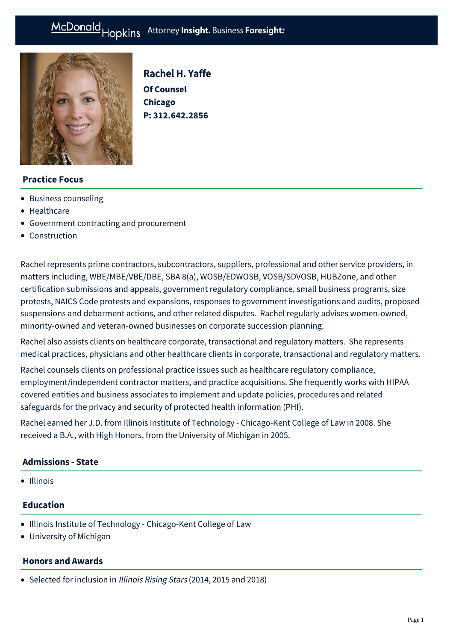# McDonald Hopkins Attorney Insight. Business Foresight:



Rachel H. Yaffe **Of Counsel Chicago P: [312.642.2856](tel:312.642.2856)**

# **Practice Focus**

- [Business counseling](https://mcdonaldhopkins.com/Expertise/Business-counseling)
- [Healthcare](https://mcdonaldhopkins.com/Expertise/Healthcare)
- [Government contracting and procurement](https://mcdonaldhopkins.com/Expertise/Government-contracting-and-procurement)
- [Construction](https://mcdonaldhopkins.com/Expertise/Industries/Construction)

Rachel represents prime contractors, subcontractors, suppliers, professional and other service providers, in matters including, WBE/MBE/VBE/DBE, SBA 8(a), WOSB/EDWOSB, VOSB/SDVOSB, HUBZone, and other certification submissions and appeals, government regulatory compliance, small business programs, size protests, NAICS Code protests and expansions, responses to government investigations and audits, proposed suspensions and debarment actions, and other related disputes. Rachel regularly advises women-owned, minority-owned and veteran-owned businesses on corporate succession planning.

Rachel also assists clients on healthcare corporate, transactional and regulatory matters. She represents medical practices, physicians and other healthcare clients in corporate, transactional and regulatory matters.

Rachel counsels clients on professional practice issues such as healthcare regulatory compliance, employment/independent contractor matters, and practice acquisitions. She frequently works with HIPAA covered entities and business associates to implement and update policies, procedures and related safeguards for the privacy and security of protected health information (PHI).

Rachel earned her J.D. from Illinois Institute of Technology - Chicago-Kent College of Law in 2008. She received a B.A., with High Honors, from the University of Michigan in 2005.

#### **Admissions - State**

• Illinois

### **Education**

- Illinois Institute of Technology Chicago-Kent College of Law
- University of Michigan

#### **Honors and Awards**

• Selected for inclusion in Illinois Rising Stars (2014, 2015 and 2018)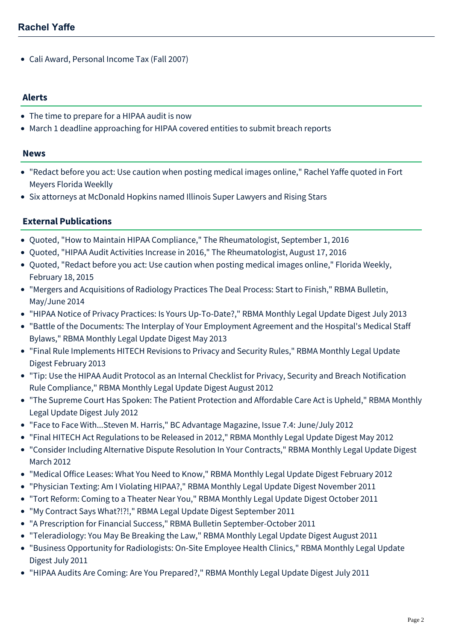Cali Award, Personal Income Tax (Fall 2007)

#### **Alerts**

- [The time to prepare for a HIPAA audit is now](https://mcdonaldhopkins.com/Insights/April-2015/The-time-to-prepare-for-a-HIPAA-audit-is-now)
- [March 1 deadline approaching for HIPAA covered entities to submit breach reports](https://mcdonaldhopkins.com/Insights/Febrary-2015/March-1-deadline-approaching-for-HIPAA-covered-ent)

#### **News**

- ["Redact before you act: Use caution when posting medical images online," Rachel Yaffe quoted in Fort](https://mcdonaldhopkins.com/Insights/Febrary-2015/Redact-before-you-act-Use-caution-when-posting-med) Meyers Florida Weeklly
- [Six attorneys at McDonald Hopkins named Illinois Super Lawyers and Rising Stars](https://mcdonaldhopkins.com/Insights/January-2015/Six-attorneys-at-McDonald-Hopkins-named-Illinois-S)

# **External Publications**

- Quoted, ["How to Maintain HIPAA Compliance](http://www.the-rheumatologist.org/article/maintain-hipaa-compliance/)," The Rheumatologist, September 1, 2016
- Quoted, ["HIPAA Audit Activities Increase in 2016,](http://www.the-rheumatologist.org/article/hipaa-audit-activities-increase-2016/?elq_mid=11503&elq_cid=5333024)" The Rheumatologist, August 17, 2016
- Quoted, ["Redact before you act: Use caution when posting medical images online,](http://fortmyers.floridaweekly.com/news/2015-02-18/Top_News/Redact_before_you_act_Use_caution_when_posting_med.html)" Florida Weekly, February 18, 2015
- "Mergers and Acquisitions of Radiology Practices The Deal Process: Start to Finish," RBMA Bulletin, May/June 2014
- "HIPAA Notice of Privacy Practices: Is Yours Up-To-Date?," RBMA Monthly Legal Update Digest July 2013
- "Battle of the Documents: The Interplay of Your Employment Agreement and the Hospital's Medical Staff Bylaws," RBMA Monthly Legal Update Digest May 2013
- "Final Rule Implements HITECH Revisions to Privacy and Security Rules," RBMA Monthly Legal Update Digest February 2013
- "Tip: Use the HIPAA Audit Protocol as an Internal Checklist for Privacy, Security and Breach Notification Rule Compliance," RBMA Monthly Legal Update Digest August 2012
- "The Supreme Court Has Spoken: The Patient Protection and Affordable Care Act is Upheld," RBMA Monthly Legal Update Digest July 2012
- "[Face to Face With...Steven M. Harris](http://www.billing-coding.com/detail_article.cfm?articleID=4540)," BC Advantage Magazine, Issue 7.4: June/July 2012
- "Final HITECH Act Regulations to be Released in 2012," RBMA Monthly Legal Update Digest May 2012
- "Consider Including Alternative Dispute Resolution In Your Contracts," RBMA Monthly Legal Update Digest March 2012
- "Medical Office Leases: What You Need to Know," RBMA Monthly Legal Update Digest February 2012
- "Physician Texting: Am I Violating HIPAA?," RBMA Monthly Legal Update Digest November 2011
- "Tort Reform: Coming to a Theater Near You," RBMA Monthly Legal Update Digest October 2011
- "My Contract Says What?!?!," RBMA Legal Update Digest September 2011
- "A Prescription for Financial Success," RBMA Bulletin September-October 2011
- "[Teleradiology: You May Be Breaking the Law," R](http://www.mcdonaldhopkins.com/news.aspx?id=2TkC7Z9Rp0iCl5FB3YPXeQ)BMA Monthly Legal Update Digest August 2011
- "[Business Opportunity for Radiologists: On-Site Employee Health Clinics,](http://www.mcdonaldhopkins.com/news.aspx?id=Euvn4ypXcUOXDWXEr8P43A)" RBMA Monthly Legal Update Digest July 2011
- "[HIPAA Audits Are Coming: Are You Prepared?," R](http://www.mcdonaldhopkins.com/news.aspx?id=P1c9J99sL0CHOMT9TF_53A)BMA Monthly Legal Update Digest July 2011